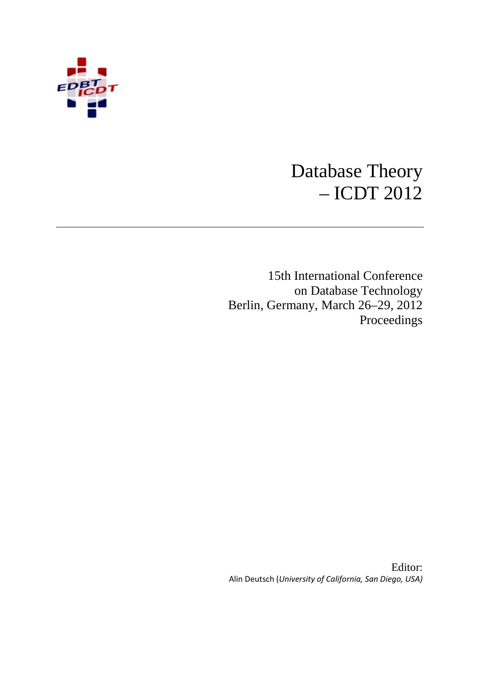

# Database Theory – ICDT 2012

15th International Conference on Database Technology Berlin, Germany, March 26–29, 2012 Proceedings

Editor: Alin Deutsch (*University of California, San Diego, USA)*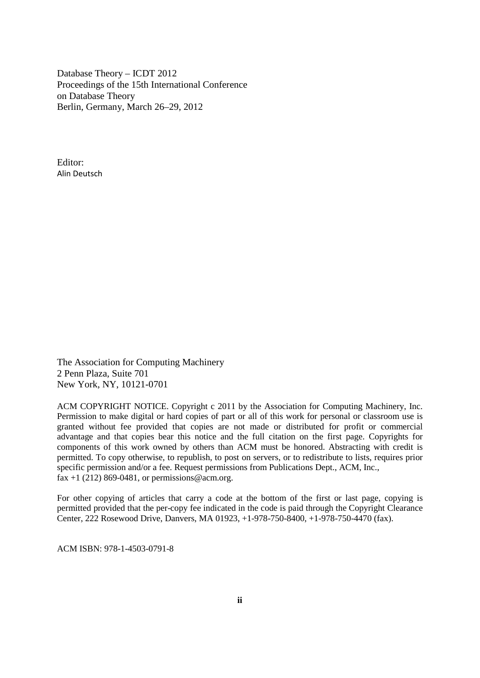Database Theory – ICDT 2012 Proceedings of the 15th International Conference on Database Theory Berlin, Germany, March 26–29, 2012

Editor: Alin Deutsch

The Association for Computing Machinery 2 Penn Plaza, Suite 701 New York, NY, 10121-0701

ACM COPYRIGHT NOTICE. Copyright c 2011 by the Association for Computing Machinery, Inc. Permission to make digital or hard copies of part or all of this work for personal or classroom use is granted without fee provided that copies are not made or distributed for profit or commercial advantage and that copies bear this notice and the full citation on the first page. Copyrights for components of this work owned by others than ACM must be honored. Abstracting with credit is permitted. To copy otherwise, to republish, to post on servers, or to redistribute to lists, requires prior specific permission and/or a fee. Request permissions from Publications Dept., ACM, Inc., fax +1 (212) 869-0481, or permissions @acm.org.

For other copying of articles that carry a code at the bottom of the first or last page, copying is permitted provided that the per-copy fee indicated in the code is paid through the Copyright Clearance Center, 222 Rosewood Drive, Danvers, MA 01923, +1-978-750-8400, +1-978-750-4470 (fax).

ACM ISBN: 978-1-4503-0791-8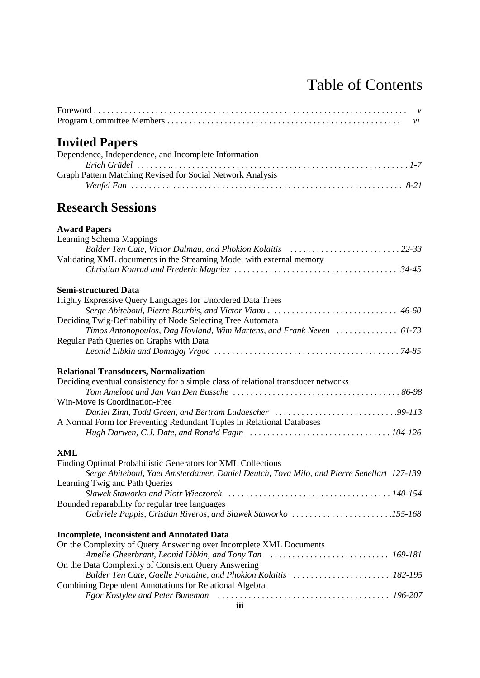# Table of Contents

| <b>Invited Papers</b>                                                                     |  |
|-------------------------------------------------------------------------------------------|--|
| Dependence, Independence, and Incomplete Information                                      |  |
|                                                                                           |  |
| Graph Pattern Matching Revised for Social Network Analysis                                |  |
|                                                                                           |  |
| <b>Research Sessions</b>                                                                  |  |
| <b>Award Papers</b>                                                                       |  |
| <b>Learning Schema Mappings</b>                                                           |  |
| Balder Ten Cate, Victor Dalmau, and Phokion Kolaitis 22-33                                |  |
| Validating XML documents in the Streaming Model with external memory                      |  |
|                                                                                           |  |
|                                                                                           |  |
| Semi-structured Data                                                                      |  |
| Highly Expressive Query Languages for Unordered Data Trees                                |  |
|                                                                                           |  |
| Deciding Twig-Definability of Node Selecting Tree Automata                                |  |
| Timos Antonopoulos, Dag Hovland, Wim Martens, and Frank Neven  61-73                      |  |
| Regular Path Queries on Graphs with Data                                                  |  |
|                                                                                           |  |
| <b>Relational Transducers, Normalization</b>                                              |  |
| Deciding eventual consistency for a simple class of relational transducer networks        |  |
|                                                                                           |  |
| Win-Move is Coordination-Free                                                             |  |
|                                                                                           |  |
| A Normal Form for Preventing Redundant Tuples in Relational Databases                     |  |
|                                                                                           |  |
|                                                                                           |  |
| XML                                                                                       |  |
| Finding Optimal Probabilistic Generators for XML Collections                              |  |
| Serge Abiteboul, Yael Amsterdamer, Daniel Deutch, Tova Milo, and Pierre Senellart 127-139 |  |
| Learning Twig and Path Queries                                                            |  |
|                                                                                           |  |
| Bounded reparability for regular tree languages                                           |  |
| Gabriele Puppis, Cristian Riveros, and Slawek Staworko 155-168                            |  |
| <b>Incomplete, Inconsistent and Annotated Data</b>                                        |  |
| On the Complexity of Query Answering over Incomplete XML Documents                        |  |
|                                                                                           |  |
| On the Data Complexity of Consistent Query Answering                                      |  |
|                                                                                           |  |
| Combining Dependent Annotations for Relational Algebra                                    |  |
|                                                                                           |  |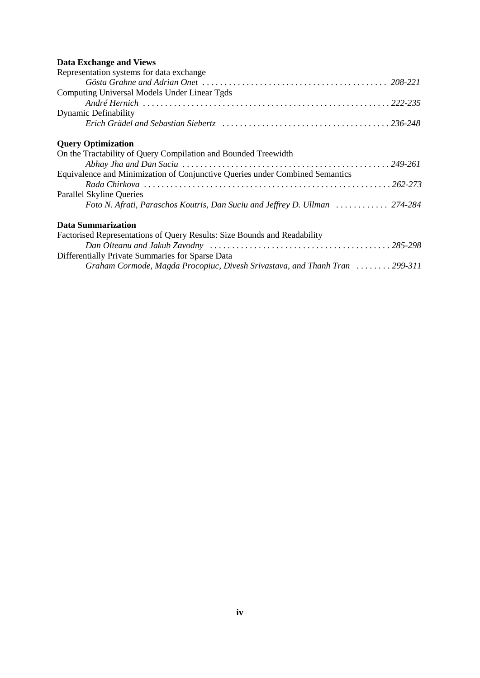## **Data Exchange and Views**

| Representation systems for data exchange                                     |
|------------------------------------------------------------------------------|
|                                                                              |
| Computing Universal Models Under Linear Tgds                                 |
|                                                                              |
| <b>Dynamic Definability</b>                                                  |
|                                                                              |
| <b>Query Optimization</b>                                                    |
| On the Tractability of Query Compilation and Bounded Treewidth               |
|                                                                              |
| Equivalence and Minimization of Conjunctive Queries under Combined Semantics |
|                                                                              |
| Parallel Skyline Queries                                                     |
| Foto N. Afrati, Paraschos Koutris, Dan Suciu and Jeffrey D. Ullman  274-284  |
| <b>Data Summarization</b>                                                    |
| Factorised Representations of Query Results: Size Bounds and Readability     |
|                                                                              |
| Differentially Private Summaries for Sparse Data                             |
| Graham Cormode, Magda Procopiuc, Divesh Srivastava, and Thanh Tran  299-311  |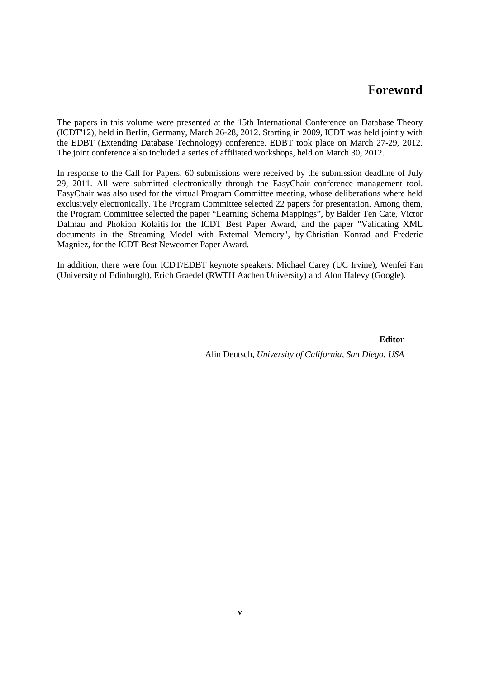## **Foreword**

The papers in this volume were presented at the 15th International Conference on Database Theory (ICDT'12), held in Berlin, Germany, March 26-28, 2012. Starting in 2009, ICDT was held jointly with the EDBT (Extending Database Technology) conference. EDBT took place on March 27-29, 2012. The joint conference also included a series of affiliated workshops, held on March 30, 2012.

In response to the Call for Papers, 60 submissions were received by the submission deadline of July 29, 2011. All were submitted electronically through the EasyChair conference management tool. EasyChair was also used for the virtual Program Committee meeting, whose deliberations where held exclusively electronically. The Program Committee selected 22 papers for presentation. Among them, the Program Committee selected the paper "Learning Schema Mappings", by Balder Ten Cate, Victor Dalmau and Phokion Kolaitis for the ICDT Best Paper Award, and the paper "Validating XML documents in the Streaming Model with External Memory", by Christian Konrad and Frederic Magniez, for the ICDT Best Newcomer Paper Award.

In addition, there were four ICDT/EDBT keynote speakers: Michael Carey (UC Irvine), Wenfei Fan (University of Edinburgh), Erich Graedel (RWTH Aachen University) and Alon Halevy (Google).

**Editor**

Alin Deutsch, *University of California, San Diego, USA*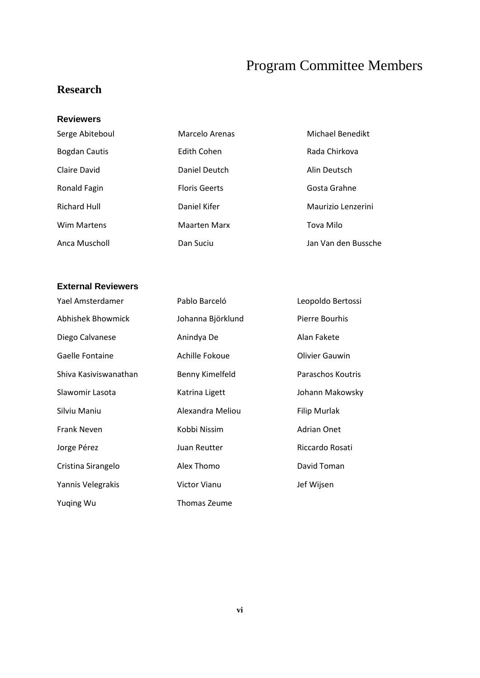# Program Committee Members

# **Research**

#### **Reviewers**

| Serge Abiteboul      | Marcelo Arenas       | Michael Benedikt    |
|----------------------|----------------------|---------------------|
| <b>Bogdan Cautis</b> | Edith Cohen          | Rada Chirkova       |
| Claire David         | Daniel Deutch        | Alin Deutsch        |
| Ronald Fagin         | <b>Floris Geerts</b> | Gosta Grahne        |
| <b>Richard Hull</b>  | Daniel Kifer         | Maurizio Lenzerini  |
| <b>Wim Martens</b>   | <b>Maarten Marx</b>  | Tova Milo           |
| Anca Muscholl        | Dan Suciu            | Jan Van den Bussche |

## **External Reviewers**

| Yael Amsterdamer      | Pablo Barceló     | Leopoldo Bertossi  |
|-----------------------|-------------------|--------------------|
| Abhishek Bhowmick     | Johanna Björklund | Pierre Bourhis     |
| Diego Calvanese       | Anindya De        | Alan Fakete        |
| Gaelle Fontaine       | Achille Fokoue    | Olivier Gauwin     |
| Shiva Kasiviswanathan | Benny Kimelfeld   | Paraschos Koutris  |
| Slawomir Lasota       | Katrina Ligett    | Johann Makowsky    |
| Silviu Maniu          | Alexandra Meliou  | Filip Murlak       |
| <b>Frank Neven</b>    | Kobbi Nissim      | <b>Adrian Onet</b> |
| Jorge Pérez           | Juan Reutter      | Riccardo Rosati    |
| Cristina Sirangelo    | Alex Thomo        | David Toman        |
| Yannis Velegrakis     | Victor Vianu      | Jef Wijsen         |
| Yuging Wu             | Thomas Zeume      |                    |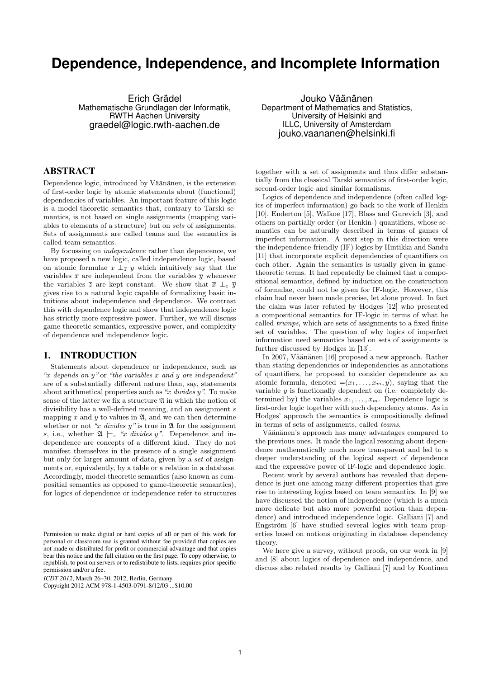# **Dependence, Independence, and Incomplete Information**

Erich Grädel Mathematische Grundlagen der Informatik, RWTH Aachen University graedel@logic.rwth-aachen.de

Jouko Väänänen Department of Mathematics and Statistics, University of Helsinki and ILLC, University of Amsterdam jouko.vaananen@helsinki.fi

#### ABSTRACT

Dependence logic, introduced by Väänänen, is the extension of first-order logic by atomic statements about (functional) dependencies of variables. An important feature of this logic is a model-theoretic semantics that, contrary to Tarski semantics, is not based on single assignments (mapping variables to elements of a structure) but on sets of assignments. Sets of assignments are called teams and the semantics is called team semantics.

By focussing on independence rather than depencence, we have proposed a new logic, called independence logic, based on atomic formulae  $\bar{x} \perp_{\bar{z}} \bar{y}$  which intuitively say that the variables  $\bar{x}$  are independent from the variables  $\bar{y}$  whenever the variables  $\overline{z}$  are kept constant. We show that  $\overline{x} \perp_{\overline{z}} \overline{y}$ gives rise to a natural logic capable of formalizing basic intuitions about independence and dependence. We contrast this with dependence logic and show that independence logic has strictly more expressive power. Further, we will discuss game-theoretic semantics, expressive power, and complexity of dependence and independence logic.

#### 1. INTRODUCTION

Statements about dependence or independence, such as "x depends on  $y$ " or "the variables x and y are independent" are of a substantially different nature than, say, statements about arithmetical properties auch as " $x$  divides  $y$ ". To make sense of the latter we fix a structure  $\mathfrak A$  in which the notion of divisibility has a well-defined meaning, and an assignment s mapping  $x$  and  $y$  to values in  $\mathfrak{A}$ , and we can then determine whether or not "x divides  $y$ " is true in  $\mathfrak A$  for the assignment s, i.e., whether  $\mathfrak{A} \models_s "x \; divides \; y".$  Dependence and independence are concepts of a different kind. They do not manifest themselves in the presence of a single assignment but only for larger amount of data, given by a set of assignments or, equivalently, by a table or a relation in a database. Accordingly, model-theoretic semantics (also known as compositial semantics as opposed to game-theoretic semantics), for logics of dependence or independence refer to structures

*ICDT 2012*, March 26–30, 2012, Berlin, Germany.

Copyright 2012 ACM 978-1-4503-0791-8/12/03 ...\$10.00

together with a set of assigments and thus differ substantially from the classical Tarski semantics of first-order logic, second-order logic and similar formalisms.

Logics of dependence and independence (often called logics of imperfect information) go back to the work of Henkin [10], Enderton [5], Walkoe [17], Blass and Gurevich [3], and others on partially order (or Henkin-) quantifiers, whose semantics can be naturally described in terms of games of imperfect information. A next step in this direction were the independence-friendly (IF) logics by Hintikka and Sandu [11] that incorporate explicit dependencies of quantifiers on each other. Again the semantics is usually given in gametheoretic terms. It had repeatedly be claimed that a compositional semantics, defined by induction on the construction of formulae, could not be given for IF-logic. However, this claim had never been made precise, let alone proved. In fact the claim was later refuted by Hodges [12] who presented a compositional semantics for IF-logic in terms of what he called trumps, which are sets of assignments to a fixed finite set of variables. The question of why logics of imperfect information need semantics based on sets of assignments is further discussed by Hodges in [13].

In 2007, Väänänen [16] proposed a new approach. Rather than stating dependencies or independencies as annotations of quantifiers, he proposed to consider dependence as an atomic formula, denoted  $=(x_1, \ldots, x_m, y)$ , saying that the variable  $y$  is functionally dependent on (i.e. completely determined by) the variables  $x_1, \ldots, x_m$ . Dependence logic is first-order logic together with such dependency atoms. As in Hodges' approach the semantics is compositionally defined in terms of sets of assignments, called teams.

Väänänen's approach has many advantages compared to the previous ones. It made the logical resoning about dependence mathematically much more transparent and led to a deeper understanding of the logical aspect of dependence and the expressive power of IF-logic and dependence logic.

Recent work by several authors has revealed that dependence is just one among many different properties that give rise to interesting logics based on team semantics. In [9] we have discussed the notion of independence (which is a much more delicate but also more powerful notion than dependence) and introduced independence logic. Galliani [7] and Engström [6] have studied several logics with team properties based on notions originating in database dependency theory.

We here give a survey, without proofs, on our work in [9] and [8] about logics of dependence and independence, and discuss also related results by Galliani [7] and by Kontinen

Permission to make digital or hard copies of all or part of this work for personal or classroom use is granted without fee provided that copies are not made or distributed for profit or commercial advantage and that copies bear this notice and the full citation on the first page. To copy otherwise, to republish, to post on servers or to redistribute to lists, requires prior specific permission and/or a fee.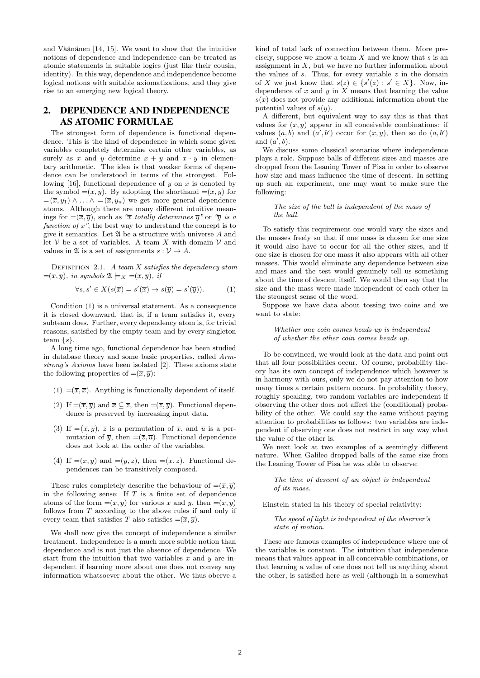and Väänänen  $[14, 15]$ . We want to show that the intuitive notions of dependence and independence can be treated as atomic statements in suitable logics (just like their cousin, identity). In this way, dependence and independence become logical notions with suitable axiomatizations, and they give rise to an emerging new logical theory.

### 2. DEPENDENCE AND INDEPENDENCE AS ATOMIC FORMULAE

The strongest form of dependence is functional dependence. This is the kind of dependence in which some given variables completely determine certain other variables, as surely as x and y determine  $x + y$  and  $x \cdot y$  in elementary arithmetic. The idea is that weaker forms of dependence can be understood in terms of the strongest. Following [16], functional dependence of y on  $\bar{x}$  is denoted by the symbol  $=(\overline{x}, y)$ . By adopting the shorthand  $=(\overline{x}, \overline{y})$  for  $=(\overline{x}, y_1) \wedge \ldots \wedge = (\overline{x}, y_n)$  we get more general dependence atoms. Although there are many different intuitive meanings for  $=(\overline{x}, \overline{y})$ , such as " $\overline{x}$  totally determines  $\overline{y}$ " or " $\overline{y}$  is a function of  $\bar{x}$ ", the best way to understand the concept is to give it semantics. Let  $\mathfrak A$  be a structure with universe A and let  $V$  be a set of variables. A team X with domain  $V$  and values in  $\mathfrak A$  is a set of assignments  $s: \mathcal V \to A$ .

DEFINITION 2.1. A team  $X$  satisfies the dependency atom  $=(\overline{x}, \overline{y})$ , in symbols  $\mathfrak{A} \models_X = (\overline{x}, \overline{y})$ , if

$$
\forall s, s' \in X(s(\overline{x}) = s'(\overline{x}) \to s(\overline{y}) = s'(\overline{y})). \tag{1}
$$

Condition (1) is a universal statement. As a consequence it is closed downward, that is, if a team satisfies it, every subteam does. Further, every dependency atom is, for trivial reasons, satisfied by the empty team and by every singleton team  $\{s\}.$ 

A long time ago, functional dependence has been studied in database theory and some basic properties, called Armstrong's Axioms have been isolated [2]. These axioms state the following properties of  $=({\overline x},{\overline y})$ :

- (1)  $=(\overline{x}, \overline{x})$ . Anything is functionally dependent of itself.
- (2) If  $=(\overline{x}, \overline{y})$  and  $\overline{x} \subseteq \overline{z}$ , then  $=(\overline{z}, \overline{y})$ . Functional dependence is preserved by increasing input data.
- (3) If  $=(\overline{x}, \overline{y})$ ,  $\overline{z}$  is a permutation of  $\overline{x}$ , and  $\overline{u}$  is a permutation of  $\overline{y}$ , then  $=(\overline{z}, \overline{u})$ . Functional dependence does not look at the order of the variables.
- (4) If  $=(\overline{x}, \overline{y})$  and  $=(\overline{y}, \overline{z})$ , then  $=(\overline{x}, \overline{z})$ . Functional dependences can be transitively composed.

These rules completely describe the behaviour of  $=(\overline{x}, \overline{y})$ in the following sense: If  $T$  is a finite set of dependence atoms of the form  $= (\overline{x}, \overline{y})$  for various  $\overline{x}$  and  $\overline{y}$ , then  $= (\overline{x}, \overline{y})$ follows from T according to the above rules if and only if every team that satisfies T also satisfies  $= (\overline{x}, \overline{y})$ .

We shall now give the concept of independence a similar treatment. Independence is a much more subtle notion than dependence and is not just the absence of dependence. We start from the intuition that two variables  $x$  and  $y$  are independent if learning more about one does not convey any information whatsoever about the other. We thus oberve a

kind of total lack of connection between them. More precisely, suppose we know a team  $X$  and we know that  $s$  is an assignment in  $X$ , but we have no further information about the values of  $s$ . Thus, for every variable  $z$  in the domain of X we just know that  $s(z) \in \{s'(z) : s' \in X\}$ . Now, independence of  $x$  and  $y$  in  $X$  means that learning the value  $s(x)$  does not provide any additional information about the potential values of  $s(y)$ .

A different, but equivalent way to say this is that that values for  $(x, y)$  appear in all conceivable combinations: if values  $(a, b)$  and  $(a', b')$  occur for  $(x, y)$ , then so do  $(a, b')$ and  $(a', b)$ .

We discuss some classical scenarios where independence plays a role. Suppose balls of different sizes and masses are dropped from the Leaning Tower of Pisa in order to observe how size and mass influence the time of descent. In setting up such an experiment, one may want to make sure the following:

#### The size of the ball is independent of the mass of the ball.

To satisfy this requirement one would vary the sizes and the masses freely so that if one mass is chosen for one size it would also have to occur for all the other sizes, and if one size is chosen for one mass it also appears with all other masses. This would eliminate any dependence between size and mass and the test would genuinely tell us something about the time of descent itself. We would then say that the size and the mass were made independent of each other in the strongest sense of the word.

Suppose we have data about tossing two coins and we want to state:

Whether one coin comes heads up is independent of whether the other coin comes heads up.

To be convinced, we would look at the data and point out that all four possibilities occur. Of course, probability theory has its own concept of independence which however is in harmony with ours, only we do not pay attention to how many times a certain pattern occurs. In probability theory, roughly speaking, two random variables are independent if observing the other does not affect the (conditional) probability of the other. We could say the same without paying attention to probabilities as follows: two variables are independent if observing one does not restrict in any way what the value of the other is.

We next look at two examples of a seemingly different nature. When Galileo dropped balls of the same size from the Leaning Tower of Pisa he was able to observe:

The time of descent of an object is independent of its mass.

Einstein stated in his theory of special relativity:

The speed of light is independent of the observer's state of motion.

These are famous examples of independence where one of the variables is constant. The intuition that independence means that values appear in all conceivable combinations, or that learning a value of one does not tell us anything about the other, is satisfied here as well (although in a somewhat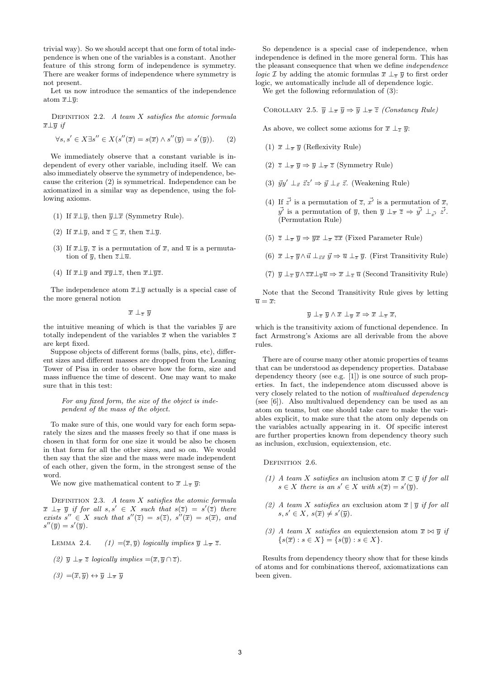trivial way). So we should accept that one form of total independence is when one of the variables is a constant. Another feature of this strong form of independence is symmetry. There are weaker forms of independence where symmetry is not present.

Let us now introduce the semantics of the independence atom  $\overline{x} \bot \overline{y}$ :

DEFINITION 2.2. A team  $X$  satisfies the atomic formula  $\overline{x} \bot \overline{y}$  if

$$
\forall s, s' \in X \exists s'' \in X(s''(\overline{x}) = s(\overline{x}) \land s''(\overline{y}) = s'(\overline{y})). \tag{2}
$$

We immediately observe that a constant variable is independent of every other variable, including itself. We can also immediately observe the symmetry of independence, because the criterion (2) is symmetrical. Independence can be axiomatized in a similar way as dependence, using the following axioms.

- (1) If  $\overline{x} \bot \overline{y}$ , then  $\overline{y} \bot \overline{x}$  (Symmetry Rule).
- (2) If  $\overline{x} \bot \overline{y}$ , and  $\overline{z} \subseteq \overline{x}$ , then  $\overline{z} \bot \overline{y}$ .
- (3) If  $\overline{x} \perp \overline{y}$ ,  $\overline{z}$  is a permutation of  $\overline{x}$ , and  $\overline{u}$  is a permutation of  $\overline{y}$ , then  $\overline{z} \bot \overline{u}$ .
- (4) If  $\overline{x} \bot \overline{y}$  and  $\overline{x} \overline{y} \bot \overline{z}$ , then  $\overline{x} \bot \overline{y} \overline{z}$ .

The independence atom  $\overline{x} \perp \overline{y}$  actually is a special case of the more general notion

 $\overline{x} \perp_{\overline{z}} \overline{y}$ 

the intuitive meaning of which is that the variables  $\overline{y}$  are totally independent of the variables  $\bar{x}$  when the variables  $\bar{z}$ are kept fixed.

Suppose objects of different forms (balls, pins, etc), different sizes and different masses are dropped from the Leaning Tower of Pisa in order to observe how the form, size and mass influence the time of descent. One may want to make sure that in this test:

For any fixed form, the size of the object is independent of the mass of the object.

To make sure of this, one would vary for each form separately the sizes and the masses freely so that if one mass is chosen in that form for one size it would be also be chosen in that form for all the other sizes, and so on. We would then say that the size and the mass were made independent of each other, given the form, in the strongest sense of the word.

We now give mathematical content to  $\bar{x} \perp_{\bar{z}} \bar{y}$ :

DEFINITION 2.3. A team  $X$  satisfies the atomic formula  $\overline{x} \perp_{\overline{z}} \overline{y}$  if for all  $s, s' \in X$  such that  $s(\overline{z}) = s'(\overline{z})$  there exists  $s'' \in X$  such that  $s''(\overline{z}) = s(\overline{z}), s''(\overline{x}) = s(\overline{x}),$  and  $s''(\overline{y}) = s'(\overline{y}).$ 

LEMMA 2.4.  $(1) = (\overline{x}, \overline{y})$  logically implies  $\overline{y} \perp_{\overline{x}} \overline{z}$ .

(2) 
$$
\overline{y} \perp_{\overline{x}} \overline{z}
$$
 logically implies  $= (\overline{x}, \overline{y} \cap \overline{z}).$ 

 $(3) = (\overline{x}, \overline{y}) \leftrightarrow \overline{y} \perp_{\overline{x}} \overline{y}$ 

So dependence is a special case of independence, when independence is defined in the more general form. This has the pleasant consequence that when we define independence *logic* I by adding the atomic formulas  $\bar{x} \perp_{\bar{z}} \bar{y}$  to first order logic, we automatically include all of dependence logic.

We get the following reformulation of (3):

COROLLARY 2.5.  $\overline{y} \perp_{\overline{x}} \overline{y} \Rightarrow \overline{y} \perp_{\overline{x}} \overline{z}$  (Constancy Rule)

As above, we collect some axioms for  $\overline{x} \perp_{\overline{z}} \overline{y}$ :

- (1)  $\bar{x} \perp_{\bar{x}} \bar{y}$  (Reflexivity Rule)
- (2)  $\overline{z} \perp_{\overline{x}} \overline{y} \Rightarrow \overline{y} \perp_{\overline{x}} \overline{z}$  (Symmetry Rule)
- (3)  $\vec{q}y' \perp_{\vec{x}} \vec{z}z' \Rightarrow \vec{q} \perp_{\vec{x}} \vec{z}$ . (Weakening Rule)
- (4) If  $\vec{z}$  is a permutation of  $\vec{z}$ ,  $\vec{x'}$  is a permutation of  $\vec{x}$ ,  $\vec{y'}$  is a permutation of  $\overline{y}$ , then  $\overline{y} \perp_{\overline{x}} \overline{z} \Rightarrow \vec{y'} \perp_{\vec{x'}} \vec{z'}$ . (Permutation Rule)
- (5)  $\overline{z} \perp_{\overline{x}} \overline{y} \Rightarrow \overline{yx} \perp_{\overline{x}} \overline{zx}$  (Fixed Parameter Rule)
- (6)  $\bar{x} \perp_{\bar{z}} \bar{y} \wedge \bar{u} \perp_{\bar{z}\bar{x}} \bar{y} \Rightarrow \bar{u} \perp_{\bar{z}} \bar{y}$ . (First Transitivity Rule)
- (7)  $\overline{y} \perp_{\overline{z}} \overline{y} \wedge \overline{zx} \perp_{\overline{y}} \overline{u} \Rightarrow \overline{x} \perp_{\overline{z}} \overline{u}$  (Second Transitivity Rule)

Note that the Second Transitivity Rule gives by letting  $\overline{u} = \overline{x}$ :

$$
\overline{y} \perp_{\overline{z}} \overline{y} \wedge \overline{x} \perp_{\overline{y}} \overline{x} \Rightarrow \overline{x} \perp_{\overline{z}} \overline{x},
$$

which is the transitivity axiom of functional dependence. In fact Armstrong's Axioms are all derivable from the above rules.

There are of course many other atomic properties of teams that can be understood as dependency properties. Database dependency theory (see e.g. [1]) is one source of such properties. In fact, the independence atom discussed above is very closely related to the notion of multivalued dependency (see [6]). Also multivalued dependency can be used as an atom on teams, but one should take care to make the variables explicit, to make sure that the atom only depends on the variables actually appearing in it. Of specific interest are further properties known from dependency theory such as inclusion, exclusion, equiextension, etc.

DEFINITION 2.6.

- (1) A team X satisfies an inclusion atom  $\overline{x} \subset \overline{y}$  if for all  $s \in X$  there is an  $s' \in X$  with  $s(\overline{x}) = s'(\overline{y})$ .
- (2) A team X satisfies an exclusion atom  $\bar{x}$  |  $\bar{y}$  if for all  $s, s' \in X, s(\overline{x}) \neq s'(\overline{y}).$
- (3) A team X satisfies an equiextension atom  $\overline{x} \bowtie \overline{y}$  if  $\{s(\overline{x}) : s \in X\} = \{s(\overline{y}) : s \in X\}.$

Results from dependency theory show that for these kinds of atoms and for combinations thereof, axiomatizations can been given.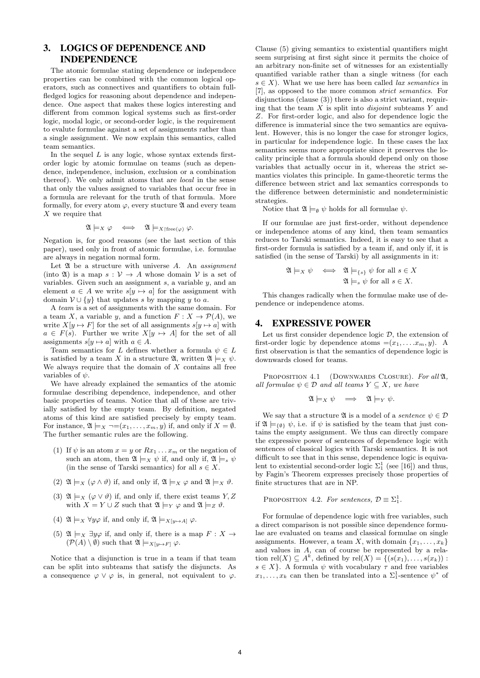### 3. LOGICS OF DEPENDENCE AND INDEPENDENCE

The atomic formulae stating dependence or independece properties can be combined with the common logical operators, such as connectives and quantifiers to obtain fullfledged logics for reasoning about dependence and independence. One aspect that makes these logics interesting and different from common logical systems such as first-order logic, modal logic, or second-order logic, is the requirement to evalute formulae against a set of assignments rather than a single assignment. We now explain this semantics, called team semantics.

In the sequel  $L$  is any logic, whose syntax extends firstorder logic by atomic formulae on teams (such as dependence, independence, inclusion, exclusion or a combination thereof). We only admit atoms that are local in the sense that only the values assigned to variables that occur free in a formula are relevant for the truth of that formula. More formally, for every atom  $\varphi$ , every stucture  $\mathfrak A$  and every team X we require that

$$
\mathfrak{A}\models_X \varphi \iff \mathfrak{A}\models_{X\restriction {\bf free}(\varphi)} \varphi.
$$

Negation is, for good reasons (see the last section of this paper), used only in front of atomic formulae, i.e. formulae are always in negation normal form.

Let  $\mathfrak A$  be a structure with universe  $A$ . An assignment (into  $\mathfrak{A}$ ) is a map  $s: \mathcal{V} \to A$  whose domain  $\mathcal{V}$  is a set of variables. Given such an assignment  $s$ , a variable  $y$ , and an element  $a \in A$  we write  $s[y \mapsto a]$  for the assignment with domain  $V \cup \{y\}$  that updates s by mapping y to a.

A team is a set of assignments with the same domain. For a team X, a variable y, and a function  $F: X \to \mathcal{P}(A)$ , we write  $X[y \mapsto F]$  for the set of all assignments  $s[y \mapsto a]$  with  $a \in F(s)$ . Further we write  $X[y \mapsto A]$  for the set of all assignments  $s[y \mapsto a]$  with  $a \in A$ .

Team semantics for L defines whether a formula  $\psi \in L$ is satisfied by a team X in a structure  $\mathfrak{A}$ , written  $\mathfrak{A} \models_X \psi$ . We always require that the domain of  $X$  contains all free variables of  $\psi$ .

We have already explained the semantics of the atomic formulae describing dependence, independence, and other basic properties of teams. Notice that all of these are trivially satisfied by the empty team. By definition, negated atoms of this kind are satisfied precisely by empty team. For instance,  $\mathfrak{A} \models_X \neg=(x_1,\ldots,x_m,y)$  if, and only if  $X=\emptyset$ . The further semantic rules are the following.

- (1) If  $\psi$  is an atom  $x = y$  or  $Rx_1 \dots x_m$  or the negation of such an atom, then  $\mathfrak{A} \models_X \psi$  if, and only if,  $\mathfrak{A} \models_s \psi$ (in the sense of Tarski semantics) for all  $s \in X$ .
- (2)  $\mathfrak{A} \models_X (\varphi \wedge \vartheta)$  if, and only if,  $\mathfrak{A} \models_X \varphi$  and  $\mathfrak{A} \models_X \vartheta$ .
- (3)  $\mathfrak{A} \models_X (\varphi \lor \vartheta)$  if, and only if, there exist teams  $Y, Z$ with  $X = Y \cup Z$  such that  $\mathfrak{A} \models_Y \varphi$  and  $\mathfrak{A} \models_Z \vartheta$ .
- (4)  $\mathfrak{A} \models_X \forall y \varphi$  if, and only if,  $\mathfrak{A} \models_X [y \mapsto A] \varphi$ .
- (5)  $\mathfrak{A} \models_X \exists y \varphi$  if, and only if, there is a map  $F : X \rightarrow$  $(\mathcal{P}(A) \setminus \emptyset)$  such that  $\mathfrak{A} \models_{X[y \mapsto F]} \varphi$ .

Notice that a disjunction is true in a team if that team can be split into subteams that satisfy the disjuncts. As a consequence  $\varphi \vee \varphi$  is, in general, not equivalent to  $\varphi$ .

Clause (5) giving semantics to existential quantifiers might seem surprising at first sight since it permits the choice of an arbitrary non-finite set of witnesses for an existentially quantified variable rather than a single witness (for each  $s \in X$ ). What we use here has been called *lax semantics* in [7], as opposed to the more common strict semantics. For disjunctions (clause (3)) there is also a strict variant, requiring that the team  $X$  is split into *disjoint* subteams  $Y$  and Z. For first-order logic, and also for dependence logic the difference is immaterial since the two semantics are equivalent. However, this is no longer the case for stronger logics, in particular for independence logic. In these cases the lax semantics seems more appropriate since it preserves the locality principle that a formula should depend only on those variables that actually occur in it, whereas the strict semantics violates this principle. In game-theoretic terms the difference between strict and lax semantics corresponds to the difference between deterministic and nondeterministic strategies.

Notice that  $\mathfrak{A} \models_{\emptyset} \psi$  holds for all formulae  $\psi$ .

If our formulae are just first-order, without dependence or independence atoms of any kind, then team semantics reduces to Tarski semantics. Indeed, it is easy to see that a first-order formula is satisfied by a team if, and only if, it is satisfied (in the sense of Tarski) by all assignments in it:

$$
\mathfrak{A} \models_X \psi \iff \mathfrak{A} \models_{\{s\}} \psi \text{ for all } s \in X
$$

$$
\mathfrak{A} \models_s \psi \text{ for all } s \in X.
$$

This changes radically when the formulae make use of dependence or independence atoms.

#### 4. EXPRESSIVE POWER

Let us first consider dependence logic  $D$ , the extension of first-order logic by dependence atoms  $=(x_1, \ldots, x_m, y)$ . A first observation is that the semantics of dependence logic is downwards closed for teams.

PROPOSITION 4.1 (DOWNWARDS CLOSURE). For all  $\mathfrak{A}$ , all formulae  $\psi \in \mathcal{D}$  and all teams  $Y \subseteq X$ , we have

$$
\mathfrak{A}\models_X \psi \quad \Longrightarrow \quad \mathfrak{A}\models_Y \psi.
$$

We say that a structure  $\mathfrak{A}$  is a model of a *sentence*  $\psi \in \mathcal{D}$ if  $\mathfrak{A} \models_{\{0\}} \psi$ , i.e. if  $\psi$  is satisfied by the team that just contains the empty assignment. We thus can directly compare the expressive power of sentences of dependence logic with sentences of classical logics with Tarski semantics. It is not difficult to see that in this sense, dependence logic is equivalent to existential second-order logic  $\Sigma_1^1$  (see [16]) and thus, by Fagin's Theorem expresses precisely those properties of finite structures that are in NP.

PROPOSITION 4.2. For sentences,  $\mathcal{D} \equiv \Sigma_1^1$ .

For formulae of dependence logic with free variables, such a direct comparison is not possible since dependence formulae are evaluated on teams and classical formulae on single assignments. However, a team X, with domain  $\{x_1, \ldots, x_k\}$ and values in A, can of course be represented by a relation rel $(X) \subseteq A^k$ , defined by rel $(X) = \{(s(x_1), \ldots, s(x_k))\}$ :  $s \in X$ . A formula  $\psi$  with vocabulary  $\tau$  and free variables  $x_1, \ldots, x_k$  can then be translated into a  $\Sigma_1^1$ -sentence  $\psi^*$  of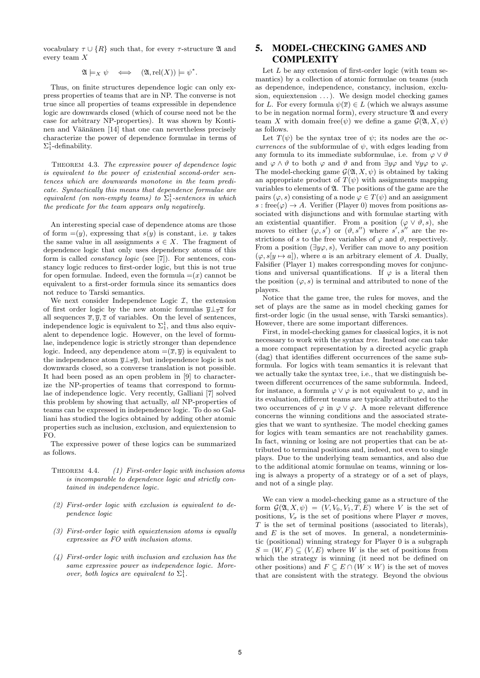vocabulary  $\tau \cup \{R\}$  such that, for every  $\tau$ -structure  $\mathfrak A$  and every team X

$$
\mathfrak{A}\models_X \psi \quad \Longleftrightarrow \quad (\mathfrak{A},\text{rel}(X))\models \psi^*.
$$

Thus, on finite structures dependence logic can only express properties of teams that are in NP. The converse is not true since all properties of teams expressible in dependence logic are downwards closed (which of course need not be the case for arbitrary NP-properties). It was shown by Kontinen and Väänänen [14] that one can nevertheless precisely characterize the power of dependence formulae in terms of  $\Sigma_1^1$ -definability.

THEOREM 4.3. The expressive power of dependence logic is equivalent to the power of existential second-order sentences which are downwards monotone in the team predicate. Syntactically this means that dependence formulae are equivalent (on non-empty teams) to  $\Sigma_1^1$ -sentences in which the predicate for the team appears only negatively.

An interesting special case of dependence atoms are those of form  $=(y)$ , expressing that  $s(y)$  is constant, i.e. y takes the same value in all assignments  $s \in X$ . The fragment of dependence logic that only uses dependency atoms of this form is called constancy logic (see [7]). For sentences, constancy logic reduces to first-order logic, but this is not true for open formulae. Indeed, even the formula  $=(x)$  cannot be equivalent to a first-order formula since its semantics does not reduce to Tarski semantics.

We next consider Independence Logic  $\mathcal{I}$ , the extension of first order logic by the new atomic formulas  $\overline{y} \perp_{\overline{x}} \overline{z}$  for all sequences  $\overline{x}, \overline{y}, \overline{z}$  of variables. On the level of sentences, independence logic is equivalent to  $\Sigma_1^1$ , and thus also equivalent to dependence logic. However, on the level of formulae, independence logic is strictly stronger than dependence logic. Indeed, any dependence atom  $=(\overline{x}, \overline{y})$  is equivalent to the independence atom  $\overline{y} \perp_{\overline{x}} \overline{y}$ , but independence logic is not downwards closed, so a converse translation is not possible. It had been posed as an open problem in [9] to characterize the NP-properties of teams that correspond to formulae of independence logic. Very recently, Galliani [7] solved this problem by showing that actually, all NP-properties of teams can be expressed in independence logic. To do so Galliani has studied the logics obtained by adding other atomic properties such as inclusion, exclusion, and equiextension to FO.

The expressive power of these logics can be summarized as follows.

- THEOREM 4.4. (1) First-order logic with inclusion atoms is incomparable to dependence logic and strictly contained in independence logic.
- (2) First-order logic with exclusion is equivalent to dependence logic
- (3) First-order logic with equiextension atoms is equally expressive as FO with inclusion atoms.
- (4) First-order logic with inclusion and exclusion has the same expressive power as independence logic. Moreover, both logics are equivalent to  $\Sigma^1_1$ .

## 5. MODEL-CHECKING GAMES AND **COMPLEXITY**

Let  $L$  be any extension of first-order logic (with team semantics) by a collection of atomic formulae on teams (such as dependence, independence, constancy, inclusion, exclusion, equiextension  $\dots$ ). We design model checking games for L. For every formula  $\psi(\overline{x}) \in L$  (which we always assume to be in negation normal form), every structure  $\mathfrak A$  and every team X with domain free( $\psi$ ) we define a game  $\mathcal{G}(\mathfrak{A}, X, \psi)$ as follows.

Let  $T(\psi)$  be the syntax tree of  $\psi$ ; its nodes are the *oc*currences of the subformulae of  $\psi$ , with edges leading from any formula to its immediate subformulae, i.e. from  $\varphi \vee \vartheta$ and  $\varphi \wedge \vartheta$  to both  $\varphi$  and  $\vartheta$  and from  $\exists y \varphi$  and  $\forall y \varphi$  to  $\varphi$ . The model-checking game  $\mathcal{G}(\mathfrak{A}, X, \psi)$  is obtained by taking an appropriate product of  $T(\psi)$  with assignments mapping variables to elements of A. The positions of the game are the pairs  $(\varphi, s)$  consisting of a node  $\varphi \in T(\psi)$  and an assignment  $s: \text{free}(\varphi) \to A$ . Verifier (Player 0) moves from positions associated with disjunctions and with formulae starting with an existential quantifier. From a position  $(\varphi \vee \vartheta, s)$ , she moves to either  $(\varphi, s')$  or  $(\vartheta, s'')$  where  $s', s''$  are the restrictions of s to the free variables of  $\varphi$  and  $\vartheta$ , respectively. From a position  $(\exists y \varphi, s)$ , Verifier can move to any position  $(\varphi, s[y \mapsto a])$ , where a is an arbitrary element of A. Dually, Falsifier (Player 1) makes corresponding moves for conjunctions and universal quantifications. If  $\varphi$  is a literal then the position  $(\varphi, s)$  is terminal and attributed to none of the players.

Notice that the game tree, the rules for moves, and the set of plays are the same as in model checking games for first-order logic (in the usual sense, with Tarski semantics). However, there are some important differences.

First, in model-checking games for classical logics, it is not necessary to work with the syntax tree. Instead one can take a more compact representation by a directed acyclic graph (dag) that identifies different occurrences of the same subformula. For logics with team semantics it is relevant that we actually take the syntax tree, i.e., that we distinguish between different occurrences of the same subformula. Indeed, for instance, a formula  $\varphi \vee \varphi$  is not equivalent to  $\varphi$ , and in its evaluation, different teams are typically attributed to the two occurrences of  $\varphi$  in  $\varphi \vee \varphi$ . A more relevant difference concerns the winning conditions and the associated strategies that we want to synthesize. The model checking games for logics with team semantics are not reachability games. In fact, winning or losing are not properties that can be attributed to terminal positions and, indeed, not even to single plays. Due to the underlying team semantics, and also due to the additional atomic formulae on teams, winning or losing is always a property of a strategy or of a set of plays, and not of a single play.

We can view a model-checking game as a structure of the form  $\mathcal{G}(\mathfrak{A}, X, \psi) = (V, V_0, V_1, T, E)$  where V is the set of positions,  $V_{\sigma}$  is the set of positions where Player  $\sigma$  moves,  $T$  is the set of terminal positions (associated to literals), and  $E$  is the set of moves. In general, a nondeterministic (positional) winning strategy for Player 0 is a subgraph  $S = (W, F) \subseteq (V, E)$  where W is the set of positions from which the strategy is winning (it need not be defined on other positions) and  $F \subseteq E \cap (W \times W)$  is the set of moves that are consistent with the strategy. Beyond the obvious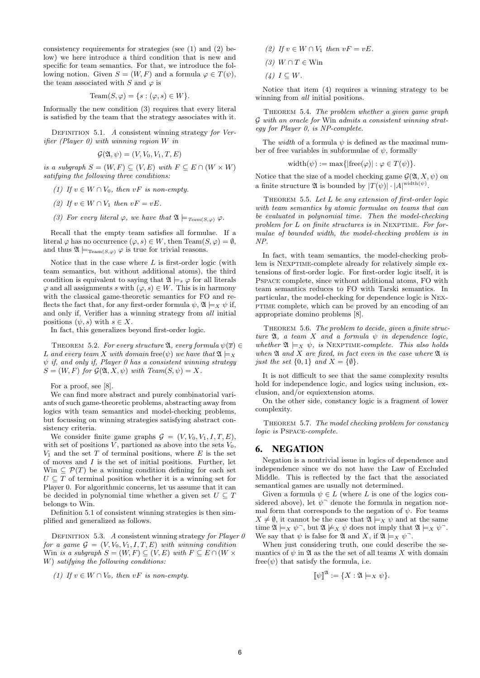consistency requirements for strategies (see (1) and (2) below) we here introduce a third condition that is new and specific for team semantics. For that, we introduce the following notion. Given  $S = (W, F)$  and a formula  $\varphi \in T(\psi)$ , the team associated with S and  $\varphi$  is

$$
\mathrm{Team}(S, \varphi) = \{ s : (\varphi, s) \in W \}.
$$

Informally the new condition (3) requires that every literal is satisfied by the team that the strategy associates with it.

DEFINITION 5.1. A consistent winning strategy for Verifier (Player 0) with winning region W in

$$
\mathcal{G}(\mathfrak{A}, \psi) = (V, V_0, V_1, T, E)
$$

is a subgraph  $S = (W, F) \subseteq (V, E)$  with  $F \subseteq E \cap (W \times W)$ satifying the following three conditions:

- (1) If  $v \in W \cap V_0$ , then  $vF$  is non-empty.
- (2) If  $v \in W \cap V_1$  then  $vF = vE$ .
- (3) For every literal  $\varphi$ , we have that  $\mathfrak{A} \models_{\mathit{Team}(S,\varphi)} \varphi$ .

Recall that the empty team satisfies all formulae. If a literal  $\varphi$  has no occurrence  $(\varphi, s) \in W$ , then Team $(S, \varphi) = \emptyset$ , and thus  $\mathfrak{A} \models_{\mathrm{Team}(S,\varphi)} \varphi$  is true for trivial reasons.

Notice that in the case where  $L$  is first-order logic (with team semantics, but without additional atoms), the third condition is equivalent to saying that  $\mathfrak{A} \models_s \varphi$  for all literals  $\varphi$  and all assignments s with  $(\varphi, s) \in W$ . This is in harmony with the classical game-theoretic semantics for FO and reflects the fact that, for any first-order formula  $\psi$ ,  $\mathfrak{A} \models_X \psi$  if, and only if, Verifier has a winning strategy from all initial positions  $(\psi, s)$  with  $s \in X$ .

In fact, this generalizes beyond first-order logic.

THEOREM 5.2. For every structure  $\mathfrak{A}$ , every formula  $\psi(\overline{x}) \in$ L and every team X with domain free( $\psi$ ) we have that  $\mathfrak{A} \models_X$  $\psi$  if, and only if, Player 0 has a consistent winning strategy  $S = (W, F)$  for  $\mathcal{G}(\mathfrak{A}, X, \psi)$  with Team $(S, \psi) = X$ .

For a proof, see [8].

We can find more abstract and purely combinatorial variants of such game-theoretic problems, abstracting away from logics with team semantics and model-checking problems, but focussing on winning strategies satisfying abstract consistency criteria.

We consider finite game graphs  $G = (V, V_0, V_1, I, T, E)$ , with set of positions  $V$ , partioned as above into the sets  $V_0$ ,  $V_1$  and the set T of terminal positions, where E is the set of moves and  $I$  is the set of initial positions. Further, let Win  $\subseteq \mathcal{P}(T)$  be a winning condition defining for each set  $U \subseteq T$  of terminal position whether it is a winning set for Player 0. For algorithmic concerns, let us assume that it can be decided in polynomial time whether a given set  $U \subseteq T$ belongs to Win.

Definition 5.1 of consistent winning strategies is then simplified and generalized as follows.

DEFINITION 5.3. A consistent winning strategy for Player  $\theta$ for a game  $G = (V, V_0, V_1, I, T, E)$  with winning condition Win is a subgraph  $S = (W, F) \subseteq (V, E)$  with  $F \subseteq E \cap (W \times$ W) satifying the following conditions:

(1) If  $v \in W \cap V_0$ , then  $vF$  is non-empty.

- (2) If  $v \in W \cap V_1$  then  $vF = vE$ .
- (3)  $W \cap T \in \text{Win}$

(4)  $I \subseteq W$ .

Notice that item (4) requires a winning strategy to be winning from *all* initial positions.

THEOREM 5.4. The problem whether a given game graph G with an oracle for Win admits a consistent winning strategy for Player 0, is NP-complete.

The *width* of a formula  $\psi$  is defined as the maximal number of free variables in subformulae of  $\psi$ , formally

width $(\psi) := \max\{|\text{free}(\varphi)| : \varphi \in T(\psi)\}.$ 

Notice that the size of a model checking game  $\mathcal{G}(\mathfrak{A}, X, \psi)$  on a finite structure  $\mathfrak A$  is bounded by  $|T(\psi)| \cdot |A|^{\text{width}(\psi)}$ .

THEOREM 5.5. Let L be any extension of first-order logic with team semantics by atomic formulae on teams that can be evaluated in polynomial time. Then the model-checking problem for  $L$  on finite structures is in NEXPTIME. For formulae of bounded width, the model-checking problem is in NP.

In fact, with team semantics, the model-checking problem is NEXPTIME-complete already for relatively simple extensions of first-order logic. For first-order logic itself, it is Pspace complete, since without additional atoms, FO with team semantics reduces to FO with Tarski semantics. In particular, the model-checking for dependence logic is Nexptime complete, which can be proved by an encoding of an appropriate domino problems [8].

THEOREM 5.6. The problem to decide, given a finite structure  $\mathfrak{A}$ , a team X and a formula  $\psi$  in dependence logic, whether  $\mathfrak{A} \models_X \psi$ , is NEXPTIME-complete. This also holds when  $\mathfrak A$  and  $X$  are fixed, in fact even in the case where  $\mathfrak A$  is just the set  $\{0,1\}$  and  $X = \{\emptyset\}.$ 

It is not difficult to see that the same complexity results hold for independence logic, and logics using inclusion, exclusion, and/or equiextension atoms.

On the other side, constancy logic is a fragment of lower complexity.

Theorem 5.7. The model checking problem for constancy logic is Pspace-complete.

#### 6. NEGATION

Negation is a nontrivial issue in logics of dependence and independence since we do not have the Law of Excluded Middle. This is reflected by the fact that the associated semantical games are usually not determined.

Given a formula  $\psi \in L$  (where L is one of the logics considered above), let  $\psi$ <sup>-</sup> denote the formula in negation normal form that corresponds to the negation of  $\psi$ . For teams  $X \neq \emptyset$ , it cannot be the case that  $\mathfrak{A} \models_X \psi$  and at the same time  $\mathfrak{A} \models_X \psi$ , but  $\mathfrak{A} \not\models_X \psi$  does not imply that  $\mathfrak{A} \models_X \psi$ . We say that  $\psi$  is false for  $\mathfrak A$  and X, if  $\mathfrak A \models_X \psi$ .

When just considering truth, one could describe the semantics of  $\psi$  in  $\mathfrak A$  as the the set of all teams X with domain free( $\psi$ ) that satisfy the formula, i.e.

$$
\llbracket \psi \rrbracket^{\mathfrak{A}} := \{ X : \mathfrak{A} \models_X \psi \}.
$$